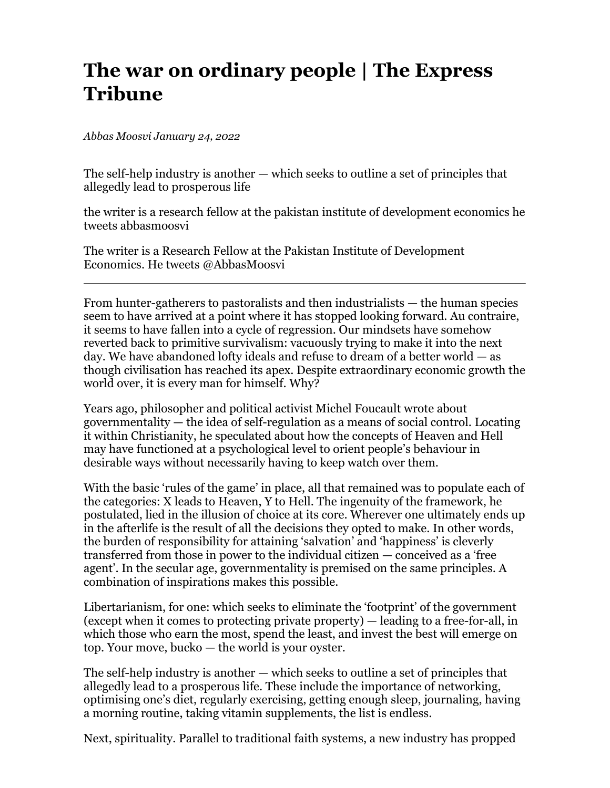## **The war on ordinary people | The Express Tribune**

*Abbas Moosvi January 24, 2022*

The self-help industry is another — which seeks to outline a set of principles that allegedly lead to prosperous life

the writer is a research fellow at the pakistan institute of development economics he tweets abbasmoosvi

The writer is a Research Fellow at the Pakistan Institute of Development Economics. He tweets @AbbasMoosvi

From hunter-gatherers to pastoralists and then industrialists — the human species seem to have arrived at a point where it has stopped looking forward. Au contraire, it seems to have fallen into a cycle of regression. Our mindsets have somehow reverted back to primitive survivalism: vacuously trying to make it into the next day. We have abandoned lofty ideals and refuse to dream of a better world — as though civilisation has reached its apex. Despite extraordinary economic growth the world over, it is every man for himself. Why?

Years ago, philosopher and political activist Michel Foucault wrote about governmentality — the idea of self-regulation as a means of social control. Locating it within Christianity, he speculated about how the concepts of Heaven and Hell may have functioned at a psychological level to orient people's behaviour in desirable ways without necessarily having to keep watch over them.

With the basic 'rules of the game' in place, all that remained was to populate each of the categories: X leads to Heaven, Y to Hell. The ingenuity of the framework, he postulated, lied in the illusion of choice at its core. Wherever one ultimately ends up in the afterlife is the result of all the decisions they opted to make. In other words, the burden of responsibility for attaining 'salvation' and 'happiness' is cleverly transferred from those in power to the individual citizen — conceived as a 'free agent'. In the secular age, governmentality is premised on the same principles. A combination of inspirations makes this possible.

Libertarianism, for one: which seeks to eliminate the 'footprint' of the government (except when it comes to protecting private property) — leading to a free-for-all, in which those who earn the most, spend the least, and invest the best will emerge on top. Your move, bucko — the world is your oyster.

The self-help industry is another — which seeks to outline a set of principles that allegedly lead to a prosperous life. These include the importance of networking, optimising one's diet, regularly exercising, getting enough sleep, journaling, having a morning routine, taking vitamin supplements, the list is endless.

Next, spirituality. Parallel to traditional faith systems, a new industry has propped